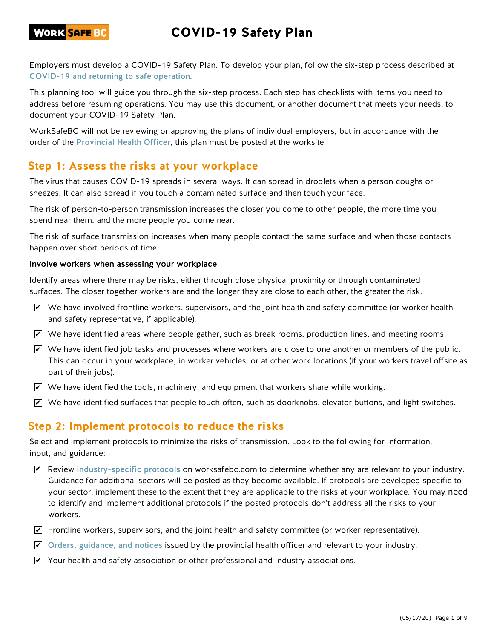# COVID-19 Safety Plan

Employers must develop a COVID-19 Safety Plan. To develop your plan, follow the six-step process described at COVID-19 and returning to safe operation.

This planning tool will guide you through the six-step process. Each step has checklists with items you need to address before resuming operations. You may use this document, or another document that meets your needs, to document your COVID-19 Safety Plan.

WorkSafeBC will not be reviewing or approving the plans of individual employers, but in accordance with the order of the Provincial Health Officer, this plan must be posted at the worksite.

### **Step 1: Assess the risks at your workplace**

The virus that causes COVID-19 spreads in several ways. It can spread in droplets when a person coughs or sneezes. It can also spread if you touch a contaminated surface and then touch your face.

The risk of person-to-person transmission increases the closer you come to other people, the more time you spend near them, and the more people you come near.

The risk of surface transmission increases when many people contact the same surface and when those contacts happen over short periods of time.

#### Involve workers when assessing your workplace

Identify areas where there may be risks, either through close physical proximity or through contaminated surfaces. The closer together workers are and the longer they are close to each other, the greater the risk.

- $\blacktriangleright$  We have involved frontline workers, supervisors, and the joint health and safety committee (or worker health and safety representative, if applicable).
- $\blacktriangleright$  We have identified areas where people gather, such as break rooms, production lines, and meeting rooms.
- $\blacktriangleright$  We have identified job tasks and processes where workers are close to one another or members of the public. This can occur in your workplace, in worker vehicles, or at other work locations (if your workers travel offsite as part of their jobs).
- $\blacktriangleright$  We have identified the tools, machinery, and equipment that workers share while working.
- $\blacktriangleright$  We have identified surfaces that people touch often, such as doorknobs, elevator buttons, and light switches.

### **Step 2: Implement protocols to reduce the risks**

Select and implement protocols to minimize the risks of transmission. Look to the following for information, input, and guidance:

- $\blacktriangledown$  Review industry-specific protocols on worksafebc.com to determine whether any are relevant to your industry. Guidance for additional sectors will be posted as they become available. If protocols are developed specific to your sector, implement these to the extent that they are applicable to the risks at your workplace. You may need to identify and implement additional protocols if the posted protocols don't address all the risks to your workers.
- $\blacktriangleright$  Frontline workers, supervisors, and the joint health and safety committee (or worker representative).
- $\blacktriangleright$  Orders, guidance, and notices issued by the provincial health officer and relevant to your industry.
- $\blacktriangleright$  Your health and safety association or other professional and industry associations.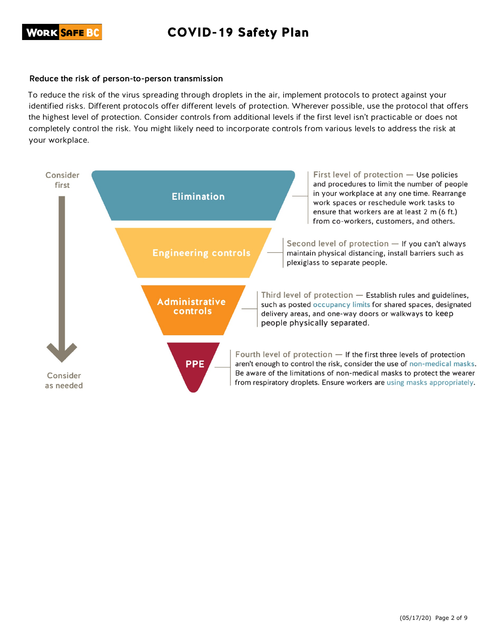# COVID-19 Safety Plan

#### Reduce the risk of person-to-person transmission

To reduce the risk of the virus spreading through droplets in the air, implement protocols to protect against your identified risks. Different protocols offer different levels of protection. Wherever possible, use the protocol that offers the highest level of protection. Consider controls from additional levels if the first level isn't practicable or does not completely control the risk. You might likely need to incorporate controls from various levels to address the risk at your workplace.

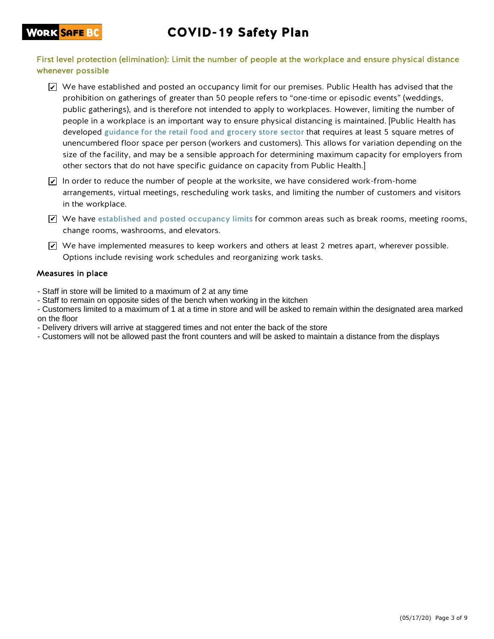### WORK <mark>SAFE BC</mark>

## COVID-19 Safety Plan

First level protection (elimination): Limit the number of people at the workplace and ensure physical distance whenever possible

- $\blacktriangleright$  We have established and posted an occupancy limit for our premises. Public Health has advised that the prohibition on gatherings of greater than 50 people refers to "one-time or episodic events" (weddings, public gatherings), and is therefore not intended to apply to workplaces. However, limiting the number of people in a workplace is an important way to ensure physical distancing is maintained. [Public Health has developed guidance for the retail food and grocery store sector that requires at least 5 square metres of unencumbered floor space per person (workers and customers). This allows for variation depending on the size of the facility, and may be a sensible approach for determining maximum capacity for employers from other sectors that do not have specific guidance on capacity from Public Health.]
- In order to reduce the number of people at the worksite, we have considered work-from-home arrangements, virtual meetings, rescheduling work tasks, and limiting the number of customers and visitors in the workplace.
- $\blacktriangleright$  We have established and posted occupancy limits for common areas such as break rooms, meeting rooms, change rooms, washrooms, and elevators.
- $\blacktrianglelefteq$  We have implemented measures to keep workers and others at least 2 metres apart, wherever possible. Options include revising work schedules and reorganizing work tasks.

#### Measures in place

- Staff in store will be limited to a maximum of 2 at any time
- Staff to remain on opposite sides of the bench when working in the kitchen
- Customers limited to a maximum of 1 at a time in store and will be asked to remain within the designated area marked on the floor
- Delivery drivers will arrive at staggered times and not enter the back of the store
- Customers will not be allowed past the front counters and will be asked to maintain a distance from the displays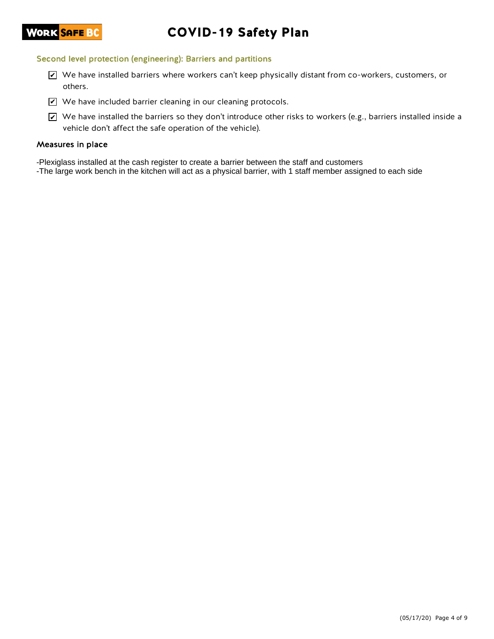# COVID-19 Safety Plan

#### Second level protection (engineering): Barriers and partitions

- $\blacktriangleright$  We have installed barriers where workers can't keep physically distant from co-workers, customers, or others.
- $\blacktriangleright$  We have included barrier cleaning in our cleaning protocols.
- $\blacktriangleright$  We have installed the barriers so they don't introduce other risks to workers (e.g., barriers installed inside a vehicle don't affect the safe operation of the vehicle).

#### Measures in place

- -Plexiglass installed at the cash register to create a barrier between the staff and customers
- -The large work bench in the kitchen will act as a physical barrier, with 1 staff member assigned to each side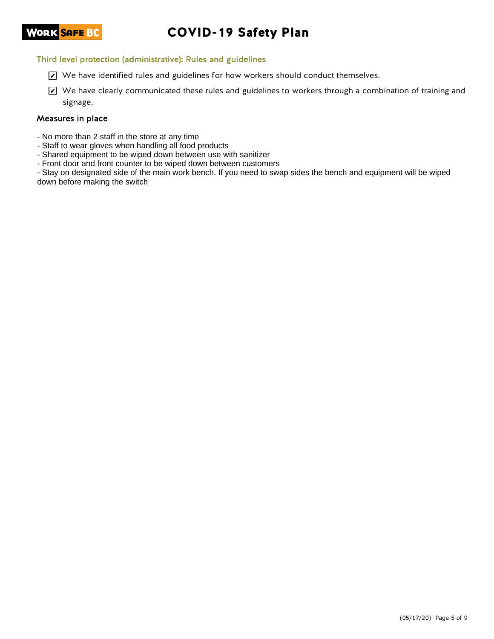# COVID-19 Safety Plan

#### Third level protection (administrative): Rules and guidelines

- $\blacktriangleright$  We have identified rules and guidelines for how workers should conduct themselves.
- $\blacktriangleright$  We have clearly communicated these rules and guidelines to workers through a combination of training and signage.

#### Measures in place

- No more than 2 staff in the store at any time
- Staff to wear gloves when handling all food products
- Shared equipment to be wiped down between use with sanitizer
- Front door and front counter to be wiped down between customers

- Stay on designated side of the main work bench. If you need to swap sides the bench and equipment will be wiped down before making the switch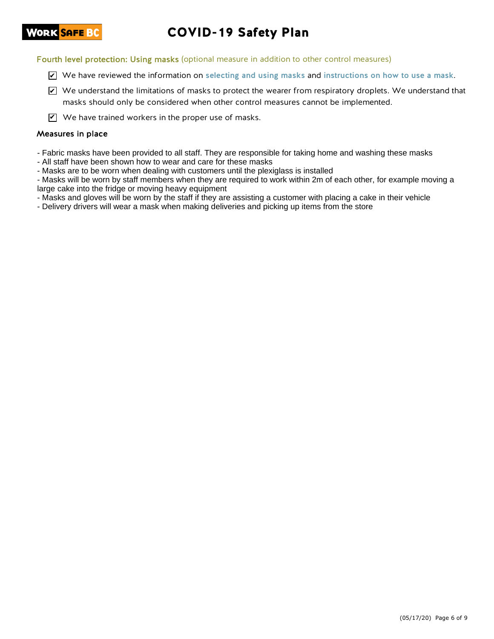# COVID-19 Safety Plan

Fourth level protection: Using masks (optional measure in addition to other control measures)

- $\blacktriangleright$  We have reviewed the information on selecting and using masks and instructions on how to use a mask.
- $\blacktriangleright$  We understand the limitations of masks to protect the wearer from respiratory droplets. We understand that masks should only be considered when other control measures cannot be implemented.

 $\mathbf{V}$  We have trained workers in the proper use of masks.

#### Measures in place

- Fabric masks have been provided to all staff. They are responsible for taking home and washing these masks

- All staff have been shown how to wear and care for these masks

- Masks are to be worn when dealing with customers until the plexiglass is installed

- Masks will be worn by staff members when they are required to work within 2m of each other, for example moving a large cake into the fridge or moving heavy equipment

- Masks and gloves will be worn by the staff if they are assisting a customer with placing a cake in their vehicle

- Delivery drivers will wear a mask when making deliveries and picking up items from the store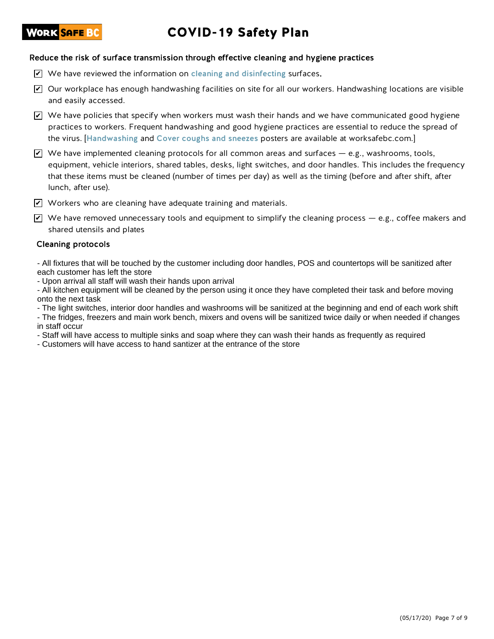## **WORK <mark>SAFE B</mark>C**

# COVID-19 Safety Plan

#### Reduce the risk of surface transmission through effective cleaning and hygiene practices

- $\triangledown$  We have reviewed the information on cleaning and disinfecting surfaces.
- $\blacktriangleright$  Our workplace has enough handwashing facilities on site for all our workers. Handwashing locations are visible and easily accessed.
- $\blacktriangleright$  We have policies that specify when workers must wash their hands and we have communicated good hygiene practices to workers. Frequent handwashing and good hygiene practices are essential to reduce the spread of the virus. [Handwashing and Cover coughs and sneezes posters are available at worksafebc.com.]
- $\blacktriangleright$  We have implemented cleaning protocols for all common areas and surfaces e.g., washrooms, tools, equipment, vehicle interiors, shared tables, desks, light switches, and door handles. This includes the frequency that these items must be cleaned (number of times per day) as well as the timing (before and after shift, after lunch, after use).
- $\blacktriangledown$  Workers who are cleaning have adequate training and materials.
- $\blacktriangledown$  We have removed unnecessary tools and equipment to simplify the cleaning process e.g., coffee makers and shared utensils and plates

#### Cleaning protocols

- All fixtures that will be touched by the customer including door handles, POS and countertops will be sanitized after each customer has left the store

- Upon arrival all staff will wash their hands upon arrival

- All kitchen equipment will be cleaned by the person using it once they have completed their task and before moving onto the next task

- The light switches, interior door handles and washrooms will be sanitized at the beginning and end of each work shift - The fridges, freezers and main work bench, mixers and ovens will be sanitized twice daily or when needed if changes in staff occur

- Staff will have access to multiple sinks and soap where they can wash their hands as frequently as required

- Customers will have access to hand santizer at the entrance of the store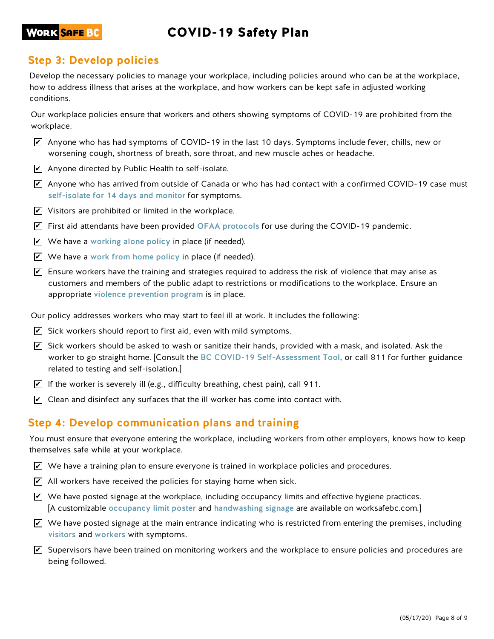## COVID-19 Safety Plan

### **WORK <mark>SAFE B</mark>C**

## **Step 3: Develop policies**

Develop the necessary policies to manage your workplace, including policies around who can be at the workplace, how to address illness that arises at the workplace, and how workers can be kept safe in adjusted working conditions.

Our workplace policies ensure that workers and others showing symptoms of COVID-19 are prohibited from the workplace.

- $\blacktriangleright$  Anyone who has had symptoms of COVID-19 in the last 10 days. Symptoms include fever, chills, new or worsening cough, shortness of breath, sore throat, and new muscle aches or headache.
- $\blacktriangleright$  Anyone directed by Public Health to self-isolate.
- $\blacktriangleright$  Anyone who has arrived from outside of Canada or who has had contact with a confirmed COVID-19 case must self-isolate for 14 days and monitor for symptoms.
- $\blacktriangleright$  Visitors are prohibited or limited in the workplace.
- $\blacktriangledown$  First aid attendants have been provided OFAA protocols for use during the COVID-19 pandemic.
- $\blacktriangleright$  We have a working alone policy in place (if needed).
- $\blacktriangleright$  We have a work from home policy in place (if needed).
- $\blacktriangledown$  Ensure workers have the training and strategies required to address the risk of violence that may arise as customers and members of the public adapt to restrictions or modifications to the workplace. Ensure an appropriate violence prevention program is in place.

Our policy addresses workers who may start to feel ill at work. It includes the following:

- $\blacktriangleright$  Sick workers should report to first aid, even with mild symptoms.
- $\overline{\mathscr{L}}$  Sick workers should be asked to wash or sanitize their hands, provided with a mask, and isolated. Ask the worker to go straight home. [Consult the BC COVID-19 Self-Assessment Tool, or call 811 for further guidance related to testing and self-isolation.]
- $\blacktriangleright$  If the worker is severely ill (e.g., difficulty breathing, chest pain), call 911.
- $\blacktriangleright$  Clean and disinfect any surfaces that the ill worker has come into contact with.

### **Step 4: Develop communication plans and training**

You must ensure that everyone entering the workplace, including workers from other employers, knows how to keep themselves safe while at your workplace.

- $\blacktriangleright$  We have a training plan to ensure everyone is trained in workplace policies and procedures.
- $\blacktriangleright$  All workers have received the policies for staying home when sick.
- $\blacktriangledown$  We have posted signage at the workplace, including occupancy limits and effective hygiene practices. [A customizable occupancy limit poster and handwashing signage are available on worksafebc.com.]
- $\blacktriangleright$  We have posted signage at the main entrance indicating who is restricted from entering the premises, including visitors and workers with symptoms.
- $\blacktriangledown$  Supervisors have been trained on monitoring workers and the workplace to ensure policies and procedures are being followed.